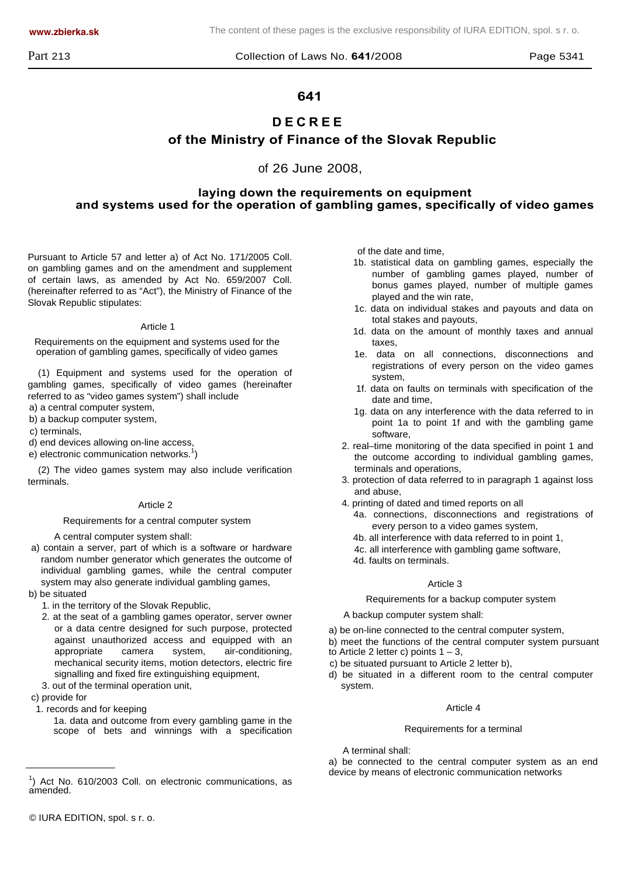**www.zbierka.sk** The content of these pages is the exclusive responsibility of IURA EDITION, spol. s r. o.

## **641**

# **DECREE**

## **of the Ministry of Finance of the Slovak Republic**

of 26 June 2008,

## **laying down the requirements on equipment and systems used for the operation of gambling games, specifically of video games**

Pursuant to Article 57 and letter a) of Act No. 171/2005 Coll. on gambling games and on the amendment and supplement of certain laws, as amended by Act No. 659/2007 Coll. (hereinafter referred to as "Act"), the Ministry of Finance of the Slovak Republic stipulates:

#### Article 1

Requirements on the equipment and systems used for the operation of gambling games, specifically of video games

(1) Equipment and systems used for the operation of gambling games, specifically of video games (hereinafter referred to as "video games system") shall include

- a) a central computer system,
- b) a backup computer system,

c) terminals,

- d) end devices allowing on-line access,
- $e$ ) electronic communication networks.<sup>1</sup>)

(2) The video games system may also include verification terminals.

#### Article 2

Requirements for a central computer system

A central computer system shall:

- a) contain a server, part of which is a software or hardware random number generator which generates the outcome of individual gambling games, while the central computer system may also generate individual gambling games,
- b) be situated
	- 1. in the territory of the Slovak Republic,
	- 2. at the seat of a gambling games operator, server owner or a data centre designed for such purpose, protected against unauthorized access and equipped with an appropriate camera system, air-conditioning, mechanical security items, motion detectors, electric fire signalling and fixed fire extinguishing equipment,
	- 3. out of the terminal operation unit,

c) provide for

1. records and for keeping

1a. data and outcome from every gambling game in the scope of bets and winnings with a specification of the date and time,

- 1b. statistical data on gambling games, especially the number of gambling games played, number of bonus games played, number of multiple games played and the win rate,
- 1c. data on individual stakes and payouts and data on total stakes and payouts,
- 1d. data on the amount of monthly taxes and annual taxes,
- 1e. data on all connections, disconnections and registrations of every person on the video games system,
- 1f. data on faults on terminals with specification of the date and time,
- 1g. data on any interference with the data referred to in point 1a to point 1f and with the gambling game software,
- 2. real–time monitoring of the data specified in point 1 and the outcome according to individual gambling games, terminals and operations,
- 3. protection of data referred to in paragraph 1 against loss and abuse,
- 4. printing of dated and timed reports on all
	- 4a. connections, disconnections and registrations of every person to a video games system,
	- 4b. all interference with data referred to in point 1,
	- 4c. all interference with gambling game software,
	- 4d. faults on terminals.

#### Article 3

Requirements for a backup computer system

A backup computer system shall:

- a) be on-line connected to the central computer system,
- b) meet the functions of the central computer system pursuant
- to Article 2 letter c) points  $1 3$ ,
- c) be situated pursuant to Article 2 letter b),
- d) be situated in a different room to the central computer system.

#### Article 4

#### Requirements for a terminal

A terminal shall:

a) be connected to the central computer system as an end device by means of electronic communication networks 1

 $<sup>1</sup>$ ) Act No. 610/2003 Coll. on electronic communications, as</sup> amended.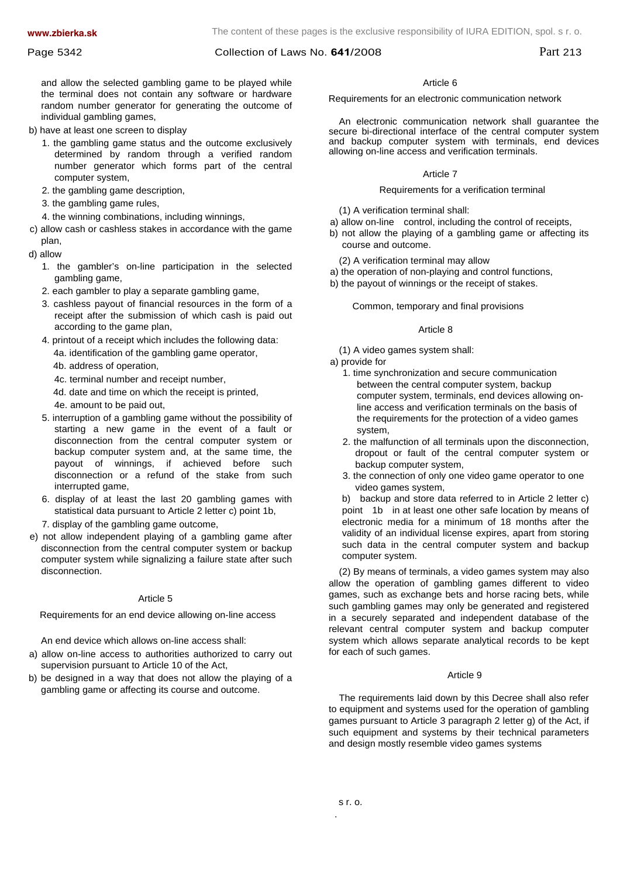#### Page 5342 **Page 5342** Collection of Laws No. **641**/2008 **Part 213**

and allow the selected gambling game to be played while the terminal does not contain any software or hardware random number generator for generating the outcome of individual gambling games,

- b) have at least one screen to display
	- 1. the gambling game status and the outcome exclusively determined by random through a verified random number generator which forms part of the central computer system,
	- 2. the gambling game description,
	- 3. the gambling game rules,
	- 4. the winning combinations, including winnings,
- c) allow cash or cashless stakes in accordance with the game plan,
- d) allow
	- 1. the gambler's on-line participation in the selected gambling game,
	- 2. each gambler to play a separate gambling game,
	- 3. cashless payout of financial resources in the form of a receipt after the submission of which cash is paid out according to the game plan,
	- 4. printout of a receipt which includes the following data: 4a. identification of the gambling game operator, 4b. address of operation,
		- 4c. terminal number and receipt number,
		- 4d. date and time on which the receipt is printed,
		- 4e. amount to be paid out,
	- 5. interruption of a gambling game without the possibility of starting a new game in the event of a fault or disconnection from the central computer system or backup computer system and, at the same time, the payout of winnings, if achieved before such disconnection or a refund of the stake from such interrupted game,
	- 6. display of at least the last 20 gambling games with statistical data pursuant to Article 2 letter c) point 1b,
	- 7. display of the gambling game outcome,
- e) not allow independent playing of a gambling game after disconnection from the central computer system or backup computer system while signalizing a failure state after such disconnection.

#### Article 5

Requirements for an end device allowing on-line access

An end device which allows on-line access shall:

- a) allow on-line access to authorities authorized to carry out supervision pursuant to Article 10 of the Act,
- b) be designed in a way that does not allow the playing of a gambling game or affecting its course and outcome.

#### Article 6

#### Requirements for an electronic communication network

An electronic communication network shall guarantee the secure bi-directional interface of the central computer system and backup computer system with terminals, end devices allowing on-line access and verification terminals.

#### Article 7

#### Requirements for a verification terminal

(1) A verification terminal shall:

- a) allow on-line control, including the control of receipts,
- b) not allow the playing of a gambling game or affecting its course and outcome.

(2) A verification terminal may allow

- a) the operation of non-playing and control functions,
- b) the payout of winnings or the receipt of stakes.

Common, temporary and final provisions

#### Article 8

(1) A video games system shall:

- a) provide for
	- 1. time synchronization and secure communication between the central computer system, backup computer system, terminals, end devices allowing online access and verification terminals on the basis of the requirements for the protection of a video games system,
	- 2. the malfunction of all terminals upon the disconnection, dropout or fault of the central computer system or backup computer system,
	- 3. the connection of only one video game operator to one video games system,

b) backup and store data referred to in Article 2 letter c) point 1b in at least one other safe location by means of electronic media for a minimum of 18 months after the validity of an individual license expires, apart from storing such data in the central computer system and backup computer system.

(2) By means of terminals, a video games system may also allow the operation of gambling games different to video games, such as exchange bets and horse racing bets, while such gambling games may only be generated and registered in a securely separated and independent database of the relevant central computer system and backup computer system which allows separate analytical records to be kept for each of such games.

#### Article 9

The requirements laid down by this Decree shall also refer to equipment and systems used for the operation of gambling games pursuant to Article 3 paragraph 2 letter g) of the Act, if such equipment and systems by their technical parameters and design mostly resemble video games systems

.